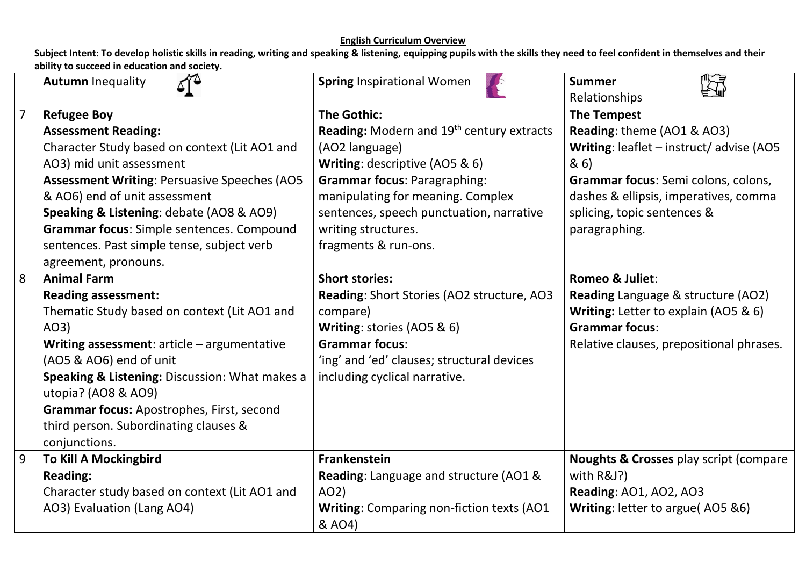|                | ∡শ≏<br><b>Autumn Inequality</b>                         | <b>Spring Inspirational Women</b>                            | <b>Summer</b><br>Relationships                     |
|----------------|---------------------------------------------------------|--------------------------------------------------------------|----------------------------------------------------|
| $\overline{7}$ | <b>Refugee Boy</b>                                      | <b>The Gothic:</b>                                           | <b>The Tempest</b>                                 |
|                | <b>Assessment Reading:</b>                              | <b>Reading:</b> Modern and 19 <sup>th</sup> century extracts | Reading: theme (AO1 & AO3)                         |
|                | Character Study based on context (Lit AO1 and           | (AO2 language)                                               | Writing: leaflet - instruct/advise (AO5            |
|                | AO3) mid unit assessment                                | Writing: descriptive (AO5 & 6)                               | 8(6)                                               |
|                | <b>Assessment Writing: Persuasive Speeches (AO5</b>     | <b>Grammar focus: Paragraphing:</b>                          | Grammar focus: Semi colons, colons,                |
|                | & AO6) end of unit assessment                           | manipulating for meaning. Complex                            | dashes & ellipsis, imperatives, comma              |
|                | <b>Speaking &amp; Listening: debate (AO8 &amp; AO9)</b> | sentences, speech punctuation, narrative                     | splicing, topic sentences &                        |
|                | Grammar focus: Simple sentences. Compound               | writing structures.                                          | paragraphing.                                      |
|                | sentences. Past simple tense, subject verb              | fragments & run-ons.                                         |                                                    |
|                | agreement, pronouns.                                    |                                                              |                                                    |
| 8              | <b>Animal Farm</b>                                      | <b>Short stories:</b>                                        | Romeo & Juliet:                                    |
|                | <b>Reading assessment:</b>                              | Reading: Short Stories (AO2 structure, AO3                   | <b>Reading Language &amp; structure (AO2)</b>      |
|                | Thematic Study based on context (Lit AO1 and            | compare)                                                     | Writing: Letter to explain (AO5 & 6)               |
|                | AO3)                                                    | Writing: stories (AO5 & 6)                                   | <b>Grammar focus:</b>                              |
|                | Writing assessment: $article - argumentative$           | <b>Grammar focus:</b>                                        | Relative clauses, prepositional phrases.           |
|                | (AO5 & AO6) end of unit                                 | 'ing' and 'ed' clauses; structural devices                   |                                                    |
|                | Speaking & Listening: Discussion: What makes a          | including cyclical narrative.                                |                                                    |
|                | utopia? (AO8 & AO9)                                     |                                                              |                                                    |
|                | Grammar focus: Apostrophes, First, second               |                                                              |                                                    |
|                | third person. Subordinating clauses &                   |                                                              |                                                    |
|                | conjunctions.                                           |                                                              |                                                    |
| 9              | <b>To Kill A Mockingbird</b>                            | Frankenstein                                                 | <b>Noughts &amp; Crosses play script (compare)</b> |
|                | <b>Reading:</b>                                         | Reading: Language and structure (AO1 &                       | with R&J?)                                         |
|                | Character study based on context (Lit AO1 and           | AO2)                                                         | Reading: AO1, AO2, AO3                             |
|                | AO3) Evaluation (Lang AO4)                              | Writing: Comparing non-fiction texts (AO1<br>& AO4)          | Writing: letter to argue(AO5 &6)                   |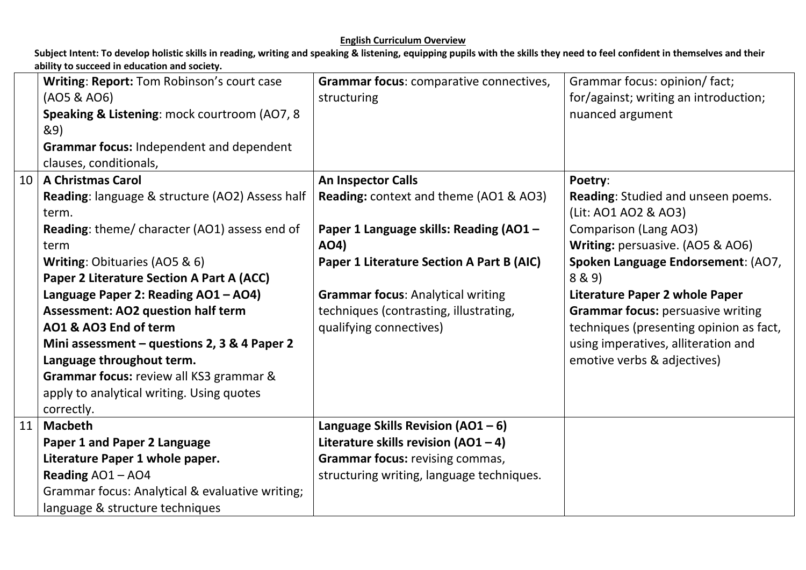|    | Writing: Report: Tom Robinson's court case<br>(AO5 & AO6)<br>Speaking & Listening: mock courtroom (AO7, 8<br>&9)<br>Grammar focus: Independent and dependent<br>clauses, conditionals, | Grammar focus: comparative connectives,<br>structuring | Grammar focus: opinion/ fact;<br>for/against; writing an introduction;<br>nuanced argument |
|----|----------------------------------------------------------------------------------------------------------------------------------------------------------------------------------------|--------------------------------------------------------|--------------------------------------------------------------------------------------------|
| 10 | <b>A Christmas Carol</b>                                                                                                                                                               | An Inspector Calls                                     | Poetry:                                                                                    |
|    | Reading: language & structure (AO2) Assess half<br>term.                                                                                                                               | <b>Reading:</b> context and theme (AO1 & AO3)          | Reading: Studied and unseen poems.<br>(Lit: AO1 AO2 & AO3)                                 |
|    | Reading: theme/ character (AO1) assess end of<br>term                                                                                                                                  | Paper 1 Language skills: Reading (AO1 -<br>AO4)        | <b>Comparison (Lang AO3)</b><br>Writing: persuasive. (AO5 & AO6)                           |
|    | Writing: Obituaries (AO5 & 6)                                                                                                                                                          | Paper 1 Literature Section A Part B (AIC)              | Spoken Language Endorsement: (AO7,                                                         |
|    | Paper 2 Literature Section A Part A (ACC)                                                                                                                                              |                                                        | 8 & 9)                                                                                     |
|    | Language Paper 2: Reading AO1 - AO4)                                                                                                                                                   | <b>Grammar focus: Analytical writing</b>               | <b>Literature Paper 2 whole Paper</b>                                                      |
|    | <b>Assessment: AO2 question half term</b>                                                                                                                                              | techniques (contrasting, illustrating,                 | <b>Grammar focus: persuasive writing</b>                                                   |
|    | AO1 & AO3 End of term                                                                                                                                                                  | qualifying connectives)                                | techniques (presenting opinion as fact,                                                    |
|    | Mini assessment - questions 2, 3 & 4 Paper 2                                                                                                                                           |                                                        | using imperatives, alliteration and                                                        |
|    | Language throughout term.                                                                                                                                                              |                                                        | emotive verbs & adjectives)                                                                |
|    | Grammar focus: review all KS3 grammar &                                                                                                                                                |                                                        |                                                                                            |
|    | apply to analytical writing. Using quotes                                                                                                                                              |                                                        |                                                                                            |
|    | correctly.                                                                                                                                                                             |                                                        |                                                                                            |
| 11 | <b>Macbeth</b>                                                                                                                                                                         | Language Skills Revision $(AO1 - 6)$                   |                                                                                            |
|    | Paper 1 and Paper 2 Language                                                                                                                                                           | Literature skills revision $(AO1 - 4)$                 |                                                                                            |
|    | Literature Paper 1 whole paper.                                                                                                                                                        | <b>Grammar focus: revising commas,</b>                 |                                                                                            |
|    | Reading AO1-AO4                                                                                                                                                                        | structuring writing, language techniques.              |                                                                                            |
|    | Grammar focus: Analytical & evaluative writing;                                                                                                                                        |                                                        |                                                                                            |
|    | language & structure techniques                                                                                                                                                        |                                                        |                                                                                            |